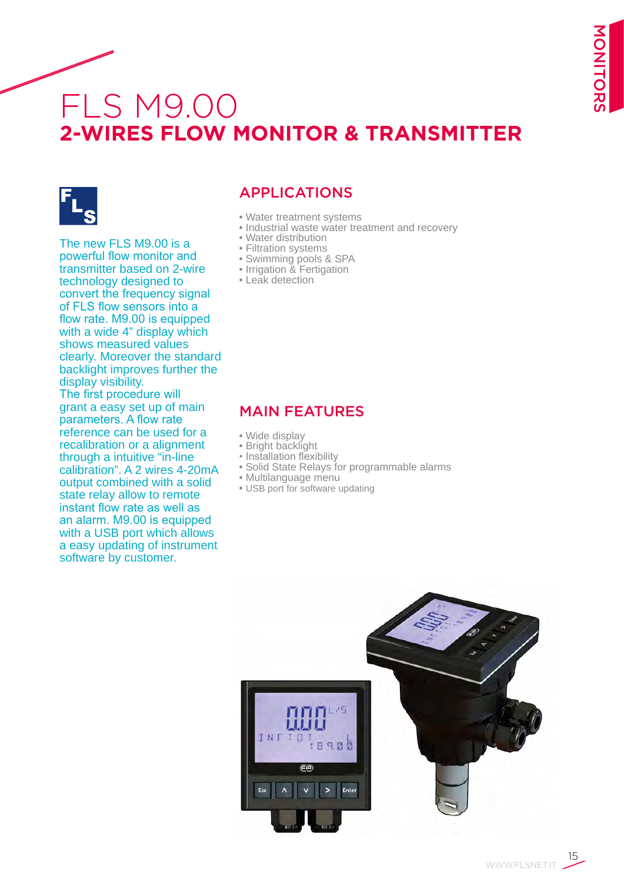# FLS M9.00 **2-WIRES FLOW MONITOR & TRANSMITTER**



The new FLS M9.00 is a powerful flow monitor and transmitter based on 2-wire technology designed to convert the frequency signal of FLS flow sensors into a flow rate. M9.00 is equipped with a wide 4" display which shows measured values clearly. Moreover the standard backlight improves further the display visibility. The first procedure will grant a easy set up of main parameters. A flow rate reference can be used for a recalibration or a alignment

through a intuitive "in-line calibration". A 2 wires 4-20mA output combined with a solid state relay allow to remote instant flow rate as well as an alarm. M9.00 is equipped with a USB port which allows a easy updating of instrument software by customer.

## APPLICATIONS

- Water treatment systems
- Industrial waste water treatment and recovery
- Water distribution
- Filtration systems
- Swimming pools & SPA
- Irrigation & Fertigation
- Leak detection

### MAIN FEATURES

- Wide display
- Bright backlight
- Installation flexibility
- Solid State Relays for programmable alarms
- Multilanguage menu
- USB port for software updating



MONITORS MONITORS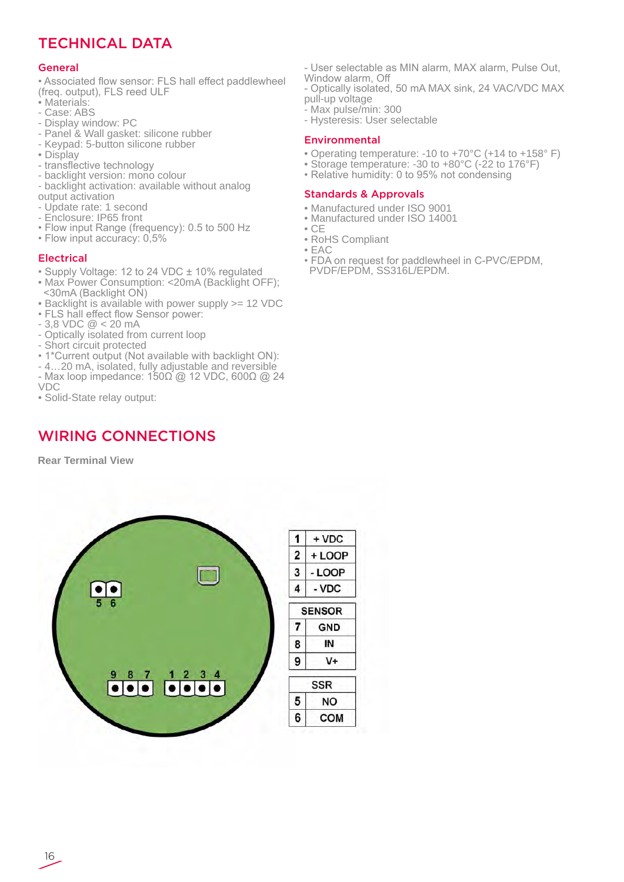## TECHNICAL DATA

#### General

- Associated flow sensor: FLS hall effect paddlewheel (freq. output), FLS reed ULF
- Materials:
- Case: ABS
- Display window: PC
- Panel & Wall gasket: silicone rubber
- Keypad: 5-button silicone rubber
- Display
- transflective technology
- backlight version: mono colour
- backlight activation: available without analog output activation
- Update rate: 1 second
- Enclosure: IP65 front
- Flow input Range (frequency): 0.5 to 500 Hz
- Flow input accuracy: 0,5%

#### Electrical

- Supply Voltage: 12 to 24 VDC ± 10% regulated
- Max Power Consumption: <20mA (Backlight OFF); <30mA (Backlight ON)
- Backlight is available with power supply >= 12 VDC
- FLS hall effect flow Sensor power:
- 3,8 VDC @ < 20 mA
- Optically isolated from current loop
- Short circuit protected
- 1\*Current output (Not available with backlight ON):
- 4…20 mA, isolated, fully adjustable and reversible
- Max loop impedance: 150Ω @ 12 VDC, 600Ω @ 24
- VDC
- Solid-State relay output:

## WIRING CONNECTIONS

**Rear Terminal View**



- User selectable as MIN alarm, MAX alarm, Pulse Out,
- Window alarm, Off
- Optically isolated, 50 mA MAX sink, 24 VAC/VDC MAX pull-up voltage
- Max pulse/min: 300
- Hysteresis: User selectable

#### Environmental

- Operating temperature: -10 to +70°C (+14 to +158° F)
- Storage temperature: -30 to +80°C (-22 to 176°F)
- Relative humidity: 0 to 95% not condensing

#### Standards & Approvals

- Manufactured under ISO 9001
- Manufactured under ISO 14001
- CE
- RoHS Compliant • EAC
- FDA on request for paddlewheel in C-PVC/EPDM, PVDF/EPDM, SS316L/EPDM.